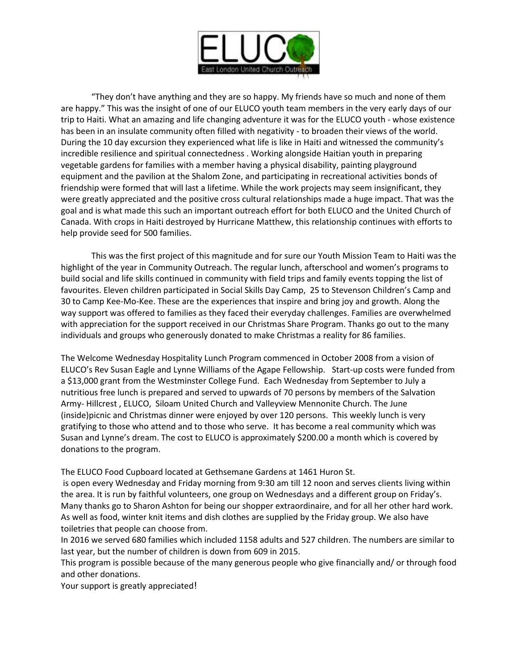

"They don't have anything and they are so happy. My friends have so much and none of them are happy." This was the insight of one of our ELUCO youth team members in the very early days of our trip to Haiti. What an amazing and life changing adventure it was for the ELUCO youth - whose existence has been in an insulate community often filled with negativity - to broaden their views of the world. During the 10 day excursion they experienced what life is like in Haiti and witnessed the community's incredible resilience and spiritual connectedness . Working alongside Haitian youth in preparing vegetable gardens for families with a member having a physical disability, painting playground equipment and the pavilion at the Shalom Zone, and participating in recreational activities bonds of friendship were formed that will last a lifetime. While the work projects may seem insignificant, they were greatly appreciated and the positive cross cultural relationships made a huge impact. That was the goal and is what made this such an important outreach effort for both ELUCO and the United Church of Canada. With crops in Haiti destroyed by Hurricane Matthew, this relationship continues with efforts to help provide seed for 500 families.

This was the first project of this magnitude and for sure our Youth Mission Team to Haiti was the highlight of the year in Community Outreach. The regular lunch, afterschool and women's programs to build social and life skills continued in community with field trips and family events topping the list of favourites. Eleven children participated in Social Skills Day Camp, 25 to Stevenson Children's Camp and 30 to Camp Kee-Mo-Kee. These are the experiences that inspire and bring joy and growth. Along the way support was offered to families as they faced their everyday challenges. Families are overwhelmed with appreciation for the support received in our Christmas Share Program. Thanks go out to the many individuals and groups who generously donated to make Christmas a reality for 86 families.

The Welcome Wednesday Hospitality Lunch Program commenced in October 2008 from a vision of ELUCO's Rev Susan Eagle and Lynne Williams of the Agape Fellowship. Start-up costs were funded from a \$13,000 grant from the Westminster College Fund. Each Wednesday from September to July a nutritious free lunch is prepared and served to upwards of 70 persons by members of the Salvation Army- Hillcrest , ELUCO, Siloam United Church and Valleyview Mennonite Church. The June (inside)picnic and Christmas dinner were enjoyed by over 120 persons. This weekly lunch is very gratifying to those who attend and to those who serve. It has become a real community which was Susan and Lynne's dream. The cost to ELUCO is approximately \$200.00 a month which is covered by donations to the program.

The ELUCO Food Cupboard located at Gethsemane Gardens at 1461 Huron St.

is open every Wednesday and Friday morning from 9:30 am till 12 noon and serves clients living within the area. It is run by faithful volunteers, one group on Wednesdays and a different group on Friday's. Many thanks go to Sharon Ashton for being our shopper extraordinaire, and for all her other hard work. As well as food, winter knit items and dish clothes are supplied by the Friday group. We also have toiletries that people can choose from.

In 2016 we served 680 families which included 1158 adults and 527 children. The numbers are similar to last year, but the number of children is down from 609 in 2015.

This program is possible because of the many generous people who give financially and/ or through food and other donations.

Your support is greatly appreciated!